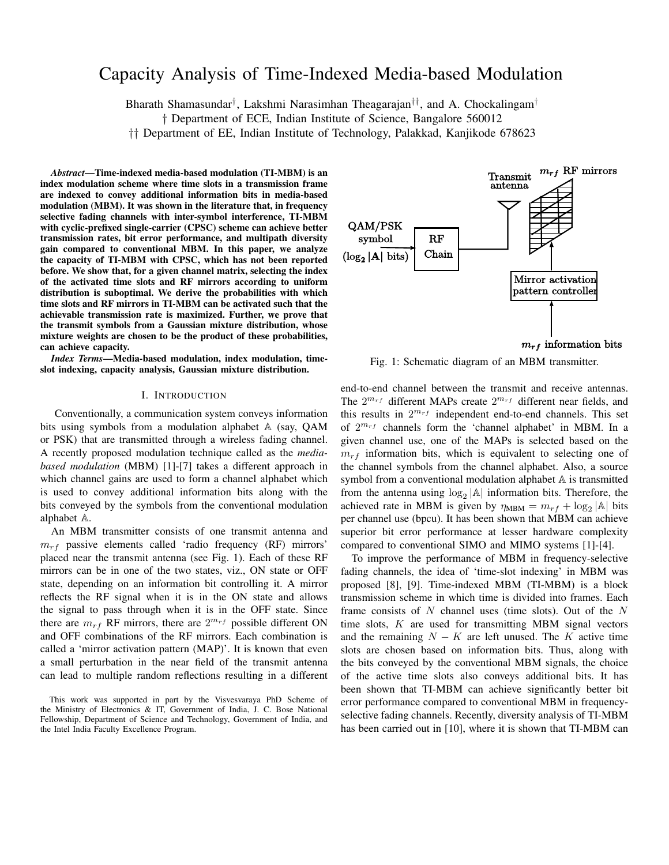# Capacity Analysis of Time-Indexed Media-based Modulation

Bharath Shamasundar*†* , Lakshmi Narasimhan Theagarajan*††*, and A. Chockalingam*†*

*†* Department of ECE, Indian Institute of Science, Bangalore 560012

*††* Department of EE, Indian Institute of Technology, Palakkad, Kanjikode 678623

*Abstract*—Time-indexed media-based modulation (TI-MBM) is an index modulation scheme where time slots in a transmission frame are indexed to convey additional information bits in media-based modulation (MBM). It was shown in the literature that, in frequency selective fading channels with inter-symbol interference, TI-MBM with cyclic-prefixed single-carrier (CPSC) scheme can achieve better transmission rates, bit error performance, and multipath diversity gain compared to conventional MBM. In this paper, we analyze the capacity of TI-MBM with CPSC, which has not been reported before. We show that, for a given channel matrix, selecting the index of the activated time slots and RF mirrors according to uniform distribution is suboptimal. We derive the probabilities with which time slots and RF mirrors in TI-MBM can be activated such that the achievable transmission rate is maximized. Further, we prove that the transmit symbols from a Gaussian mixture distribution, whose mixture weights are chosen to be the product of these probabilities, can achieve capacity.

*Index Terms*—Media-based modulation, index modulation, timeslot indexing, capacity analysis, Gaussian mixture distribution.

### I. INTRODUCTION

Conventionally, a communication system conveys information bits using symbols from a modulation alphabet A (say, QAM or PSK) that are transmitted through a wireless fading channel. A recently proposed modulation technique called as the *mediabased modulation* (MBM) [1]-[7] takes a different approach in which channel gains are used to form a channel alphabet which is used to convey additional information bits along with the bits conveyed by the symbols from the conventional modulation alphabet A.

An MBM transmitter consists of one transmit antenna and  $m_{rf}$  passive elements called 'radio frequency (RF) mirrors' placed near the transmit antenna (see Fig. 1). Each of these RF mirrors can be in one of the two states, viz., ON state or OFF state, depending on an information bit controlling it. A mirror reflects the RF signal when it is in the ON state and allows the signal to pass through when it is in the OFF state. Since there are  $m_{rf}$  RF mirrors, there are  $2^{m_{rf}}$  possible different ON and OFF combinations of the RF mirrors. Each combination is called a 'mirror activation pattern (MAP)'. It is known that even a small perturbation in the near field of the transmit antenna can lead to multiple random reflections resulting in a different



Fig. 1: Schematic diagram of an MBM transmitter.

end-to-end channel between the transmit and receive antennas. The  $2^{m_{rf}}$  different MAPs create  $2^{m_{rf}}$  different near fields, and this results in 2 *<sup>m</sup>rf* independent end-to-end channels. This set of 2 *<sup>m</sup>rf* channels form the 'channel alphabet' in MBM. In a given channel use, one of the MAPs is selected based on the  $m_{rf}$  information bits, which is equivalent to selecting one of the channel symbols from the channel alphabet. Also, a source symbol from a conventional modulation alphabet A is transmitted from the antenna using  $log_2$   $|A|$  information bits. Therefore, the achieved rate in MBM is given by  $\eta_{MBM} = m_{rf} + \log_2 |\mathbb{A}|$  bits per channel use (bpcu). It has been shown that MBM can achieve superior bit error performance at lesser hardware complexity compared to conventional SIMO and MIMO systems [1]-[4].

To improve the performance of MBM in frequency-selective fading channels, the idea of 'time-slot indexing' in MBM was proposed [8], [9]. Time-indexed MBM (TI-MBM) is a block transmission scheme in which time is divided into frames. Each frame consists of *N* channel uses (time slots). Out of the *N* time slots, *K* are used for transmitting MBM signal vectors and the remaining  $N - K$  are left unused. The  $K$  active time slots are chosen based on information bits. Thus, along with the bits conveyed by the conventional MBM signals, the choice of the active time slots also conveys additional bits. It has been shown that TI-MBM can achieve significantly better bit error performance compared to conventional MBM in frequencyselective fading channels. Recently, diversity analysis of TI-MBM has been carried out in [10], where it is shown that TI-MBM can

This work was supported in part by the Visvesvaraya PhD Scheme of the Ministry of Electronics & IT, Government of India, J. C. Bose National Fellowship, Department of Science and Technology, Government of India, and the Intel India Faculty Excellence Program.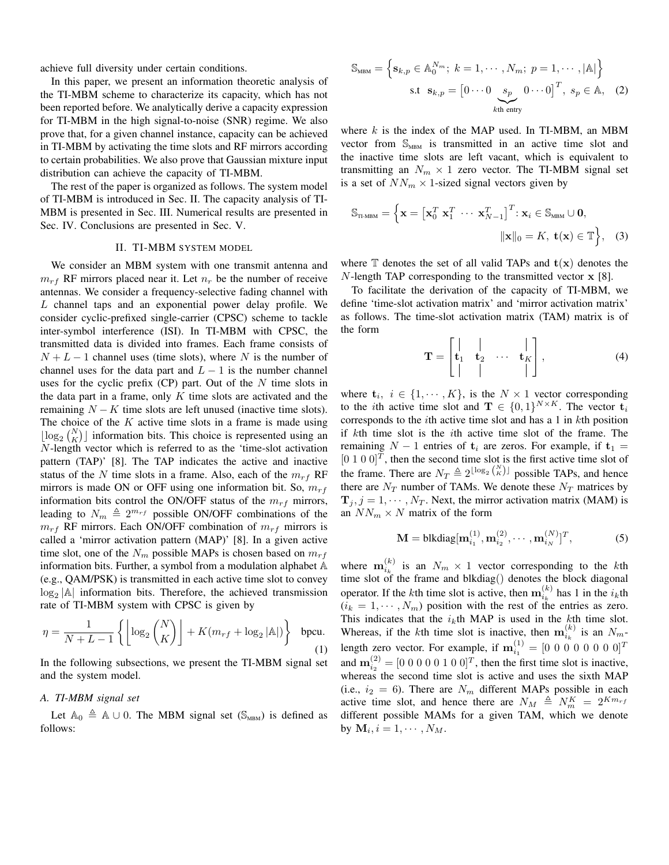achieve full diversity under certain conditions.

In this paper, we present an information theoretic analysis of the TI-MBM scheme to characterize its capacity, which has not been reported before. We analytically derive a capacity expression for TI-MBM in the high signal-to-noise (SNR) regime. We also prove that, for a given channel instance, capacity can be achieved in TI-MBM by activating the time slots and RF mirrors according to certain probabilities. We also prove that Gaussian mixture input distribution can achieve the capacity of TI-MBM.

The rest of the paper is organized as follows. The system model of TI-MBM is introduced in Sec. II. The capacity analysis of TI-MBM is presented in Sec. III. Numerical results are presented in Sec. IV. Conclusions are presented in Sec. V.

### II. TI-MBM SYSTEM MODEL

We consider an MBM system with one transmit antenna and  $m_{rf}$  RF mirrors placed near it. Let  $n_r$  be the number of receive antennas. We consider a frequency-selective fading channel with *L* channel taps and an exponential power delay profile. We consider cyclic-prefixed single-carrier (CPSC) scheme to tackle inter-symbol interference (ISI). In TI-MBM with CPSC, the transmitted data is divided into frames. Each frame consists of  $N + L - 1$  channel uses (time slots), where *N* is the number of channel uses for the data part and  $L-1$  is the number channel uses for the cyclic prefix (CP) part. Out of the *N* time slots in the data part in a frame, only *K* time slots are activated and the remaining  $N - K$  time slots are left unused (inactive time slots). The choice of the *K* active time slots in a frame is made using  $\lfloor \log_2 {N \choose K} \rfloor$  information bits. This choice is represented using an *N*-length vector which is referred to as the 'time-slot activation pattern (TAP)' [8]. The TAP indicates the active and inactive status of the N time slots in a frame. Also, each of the  $m_{rf}$  RF mirrors is made ON or OFF using one information bit. So, *mrf* information bits control the ON/OFF status of the  $m_{rf}$  mirrors, leading to  $N_m \triangleq 2^{m_{rf}}$  possible ON/OFF combinations of the  $m_{rf}$  RF mirrors. Each ON/OFF combination of  $m_{rf}$  mirrors is called a 'mirror activation pattern (MAP)' [8]. In a given active time slot, one of the  $N_m$  possible MAPs is chosen based on  $m_{rf}$ information bits. Further, a symbol from a modulation alphabet A (e.g., QAM/PSK) is transmitted in each active time slot to convey log<sup>2</sup> *|*A*|* information bits. Therefore, the achieved transmission rate of TI-MBM system with CPSC is given by

$$
\eta = \frac{1}{N + L - 1} \left\{ \left\lfloor \log_2 {N \choose K} \right\rfloor + K(m_{rf} + \log_2 |\mathbb{A}|) \right\} \text{ bpcu.}
$$
\n(1)

In the following subsections, we present the TI-MBM signal set and the system model.

## *A. TI-MBM signal set*

Let  $A_0 \triangleq A \cup 0$ . The MBM signal set (S<sub>MBM</sub>) is defined as follows:

$$
\mathbb{S}_{\text{MBM}} = \left\{ \mathbf{s}_{k,p} \in \mathbb{A}_{0}^{N_{m}}; k = 1, \cdots, N_{m}; p = 1, \cdots, |\mathbb{A}| \right\}
$$
  
s.t  $\mathbf{s}_{k,p} = \begin{bmatrix} 0 \cdots 0 & s_{p} & 0 \cdots 0 \end{bmatrix}^{T}, s_{p} \in \mathbb{A}, (2)$ 

where *k* is the index of the MAP used. In TI-MBM, an MBM vector from  $\mathbb{S}_{\text{MBM}}$  is transmitted in an active time slot and the inactive time slots are left vacant, which is equivalent to transmitting an  $N_m \times 1$  zero vector. The TI-MBM signal set is a set of  $NN_m \times 1$ -sized signal vectors given by

$$
\mathbb{S}_{\text{thm}} = \left\{ \mathbf{x} = \left[ \mathbf{x}_0^T \ \mathbf{x}_1^T \ \cdots \ \mathbf{x}_{N-1}^T \right]^T : \mathbf{x}_i \in \mathbb{S}_{\text{thm}} \cup \mathbf{0}, \|\mathbf{x}\|_0 = K, \ \mathbf{t}(\mathbf{x}) \in \mathbb{T} \right\}, \tag{3}
$$

where  $\mathbb T$  denotes the set of all valid TAPs and  $\mathbf t(\mathbf x)$  denotes the *N*-length TAP corresponding to the transmitted vector **x** [8].

To facilitate the derivation of the capacity of TI-MBM, we define 'time-slot activation matrix' and 'mirror activation matrix' as follows. The time-slot activation matrix (TAM) matrix is of the form

$$
\mathbf{T} = \begin{bmatrix} | & | & \cdots & | \\ \mathbf{t}_1 & \mathbf{t}_2 & \cdots & \mathbf{t}_K \\ | & | & | & \cdots & | \end{bmatrix}, \tag{4}
$$

where  $\mathbf{t}_i, i \in \{1, \cdots, K\}$ , is the  $N \times 1$  vector corresponding to the *i*th active time slot and  $\mathbf{T} \in \{0,1\}^{N \times K}$ . The vector  $\mathbf{t}_i$ corresponds to the *i*th active time slot and has a 1 in *k*th position if *k*th time slot is the *i*th active time slot of the frame. The remaining  $N - 1$  entries of  $t_i$  are zeros. For example, if  $t_1 =$  $[0 1 0 0]^T$ , then the second time slot is the first active time slot of the frame. There are  $N_T \triangleq 2^{\lfloor \log_2 {N \choose K} \rfloor}$  possible TAPs, and hence there are  $N_T$  number of TAMs. We denote these  $N_T$  matrices by  $\mathbf{T}_i$ ,  $j = 1, \dots, N_T$ . Next, the mirror activation matrix (MAM) is an  $NN_m \times N$  matrix of the form

$$
\mathbf{M} = \text{blkdiag}[\mathbf{m}_{i_1}^{(1)}, \mathbf{m}_{i_2}^{(2)}, \cdots, \mathbf{m}_{i_N}^{(N)}]^T, \tag{5}
$$

where  $\mathbf{m}_{i_k}^{(k)}$  is an  $N_m \times 1$  vector corresponding to the *k*th time slot of the frame and blkdiag() denotes the block diagonal operator. If the *k*th time slot is active, then  $\mathbf{m}_{i_k}^{(k)}$  has 1 in the  $i_k$ th  $(i_k = 1, \dots, N_m)$  position with the rest of the entries as zero. This indicates that the  $i_k$ th MAP is used in the  $k$ th time slot. Whereas, if the *k*th time slot is inactive, then  $\mathbf{m}_{i_k}^{(k)}$  is an  $N_m$ length zero vector. For example, if  $m_{i_1}^{(1)} = [0\ 0\ 0\ 0\ 0\ 0\ 0\ 0]^T$ and  $\mathbf{m}_{i_2}^{(2)} = [0 \ 0 \ 0 \ 0 \ 0 \ 1 \ 0 \ 0]^T$ , then the first time slot is inactive, whereas the second time slot is active and uses the sixth MAP (i.e.,  $i_2 = 6$ ). There are  $N_m$  different MAPs possible in each active time slot, and hence there are  $N_M \triangleq N_m^K = 2^{Km_{rf}}$ different possible MAMs for a given TAM, which we denote by  $\mathbf{M}_i, i = 1, \cdots, N_M$ .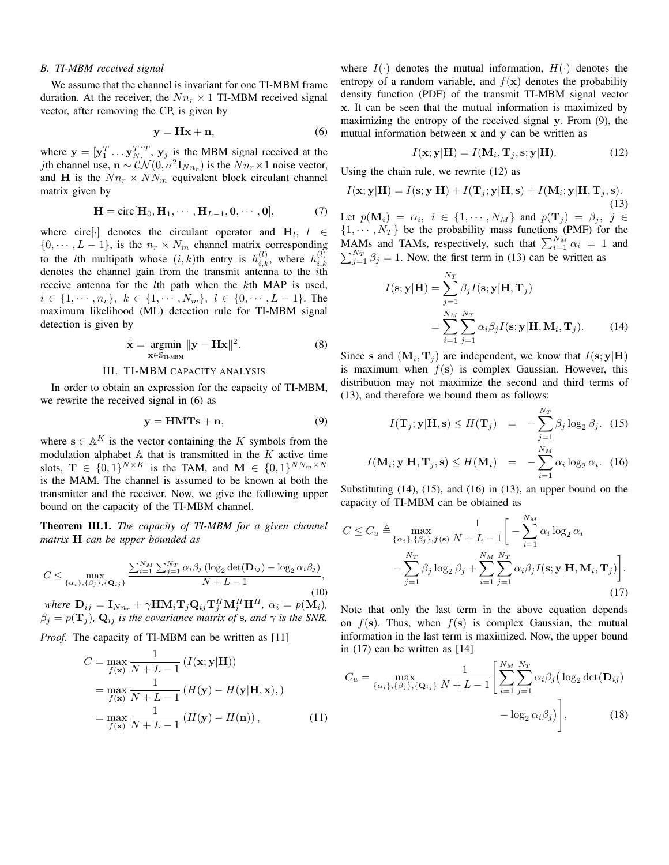#### *B. TI-MBM received signal*

We assume that the channel is invariant for one TI-MBM frame duration. At the receiver, the  $Nn_r \times 1$  TI-MBM received signal vector, after removing the CP, is given by

$$
y = Hx + n,\t\t(6)
$$

where  $\mathbf{y} = [\mathbf{y}_1^T \dots \mathbf{y}_N^T]^T$ ,  $\mathbf{y}_j$  is the MBM signal received at the *j*th channel use,  $\mathbf{n} \sim \mathcal{CN}(0, \sigma^2 \mathbf{I}_{Nn_r})$  is the  $Nn_r \times 1$  noise vector, and **H** is the  $Nn_r \times NN_m$  equivalent block circulant channel matrix given by

$$
\mathbf{H} = \text{circ}[\mathbf{H}_0, \mathbf{H}_1, \cdots, \mathbf{H}_{L-1}, \mathbf{0}, \cdots, \mathbf{0}],
$$
 (7)

where circ[ $\cdot$ ] denotes the circulant operator and  $\mathbf{H}_l$ ,  $l \in$  $\{0, \dots, L-1\}$ , is the  $n_r \times N_m$  channel matrix corresponding to the *l*th multipath whose  $(i, k)$ th entry is  $h_{i,k}^{(l)}$ , where  $h_{i,k}^{(l)}$ *i,k* denotes the channel gain from the transmit antenna to the *i*th receive antenna for the *l*th path when the *k*th MAP is used,  $i \in \{1, \dots, n_r\}, k \in \{1, \dots, N_m\}, l \in \{0, \dots, L-1\}.$  The maximum likelihood (ML) detection rule for TI-MBM signal detection is given by

$$
\hat{\mathbf{x}} = \underset{\mathbf{x} \in \mathbb{S}_{\text{TI-MBM}}}{\text{argmin}} ||\mathbf{y} - \mathbf{H}\mathbf{x}||^2. \tag{8}
$$

## III. TI-MBM CAPACITY ANALYSIS

In order to obtain an expression for the capacity of TI-MBM, we rewrite the received signal in (6) as

$$
y = HMTs + n,\t\t(9)
$$

where  $\mathbf{s} \in \mathbb{A}^K$  is the vector containing the *K* symbols from the modulation alphabet A that is transmitted in the *K* active time slots,  $\mathbf{T} \in \{0,1\}^{N \times K}$  is the TAM, and  $\mathbf{M} \in \{0,1\}^{NN_m \times N}$ is the MAM. The channel is assumed to be known at both the transmitter and the receiver. Now, we give the following upper bound on the capacity of the TI-MBM channel.

Theorem III.1. *The capacity of TI-MBM for a given channel matrix* **H** *can be upper bounded as*

$$
C \leq \max_{\{\alpha_i\},\{\beta_j\},\{\mathbf{Q}_{ij}\}} \frac{\sum_{i=1}^{N_M} \sum_{j=1}^{N_T} \alpha_i \beta_j \left(\log_2 \det(\mathbf{D}_{ij}) - \log_2 \alpha_i \beta_j\right)}{N + L - 1},\tag{10}
$$

where  $\mathbf{D}_{ij} = \mathbf{I}_{Nn_r} + \gamma \mathbf{H} \mathbf{M}_i \mathbf{T}_j \mathbf{Q}_{ij} \mathbf{T}_j^H \mathbf{M}_i^H \mathbf{H}^H$ ,  $\alpha_i = p(\mathbf{M}_i)$ ,  $\beta_j = p(\mathbf{T}_j)$ ,  $\mathbf{Q}_{ij}$  *is the covariance matrix of s, and*  $\gamma$  *is the SNR.* 

*Proof.* The capacity of TI-MBM can be written as [11]

$$
C = \max_{f(\mathbf{x})} \frac{1}{N + L - 1} \left( I(\mathbf{x}; \mathbf{y} | \mathbf{H}) \right)
$$
  
= 
$$
\max_{f(\mathbf{x})} \frac{1}{N + L - 1} \left( H(\mathbf{y}) - H(\mathbf{y} | \mathbf{H}, \mathbf{x}) \right)
$$
  
= 
$$
\max_{f(\mathbf{x})} \frac{1}{N + L - 1} \left( H(\mathbf{y}) - H(\mathbf{n}) \right), \tag{11}
$$

where  $I(\cdot)$  denotes the mutual information,  $H(\cdot)$  denotes the entropy of a random variable, and  $f(\mathbf{x})$  denotes the probability density function (PDF) of the transmit TI-MBM signal vector **x**. It can be seen that the mutual information is maximized by maximizing the entropy of the received signal **y**. From (9), the mutual information between **x** and **y** can be written as

$$
I(\mathbf{x}; \mathbf{y}|\mathbf{H}) = I(\mathbf{M}_i, \mathbf{T}_j, \mathbf{s}; \mathbf{y}|\mathbf{H}).
$$
 (12)

Using the chain rule, we rewrite (12) as

$$
I(\mathbf{x}; \mathbf{y}|\mathbf{H}) = I(\mathbf{s}; \mathbf{y}|\mathbf{H}) + I(\mathbf{T}_j; \mathbf{y}|\mathbf{H}, \mathbf{s}) + I(\mathbf{M}_i; \mathbf{y}|\mathbf{H}, \mathbf{T}_j, \mathbf{s}).
$$
\n(13)

Let  $p(\mathbf{M}_i) = \alpha_i, i \in \{1, \cdots, N_M\}$  and  $p(\mathbf{T}_j) = \beta_j, j \in$  $\{1, \dots, N_T\}$  be the probability mass functions (PMF) for the MAMs and TAMs, respectively, such that  $\sum_{i=1}^{N_M} \alpha_i = 1$  and  $\sum_{j=1}^{N_T} \beta_j = 1$ . Now, the first term in (13) can be written as

$$
I(\mathbf{s}; \mathbf{y}|\mathbf{H}) = \sum_{j=1}^{N_T} \beta_j I(\mathbf{s}; \mathbf{y}|\mathbf{H}, \mathbf{T}_j)
$$
  
= 
$$
\sum_{i=1}^{N_M} \sum_{j=1}^{N_T} \alpha_i \beta_j I(\mathbf{s}; \mathbf{y}|\mathbf{H}, \mathbf{M}_i, \mathbf{T}_j).
$$
 (14)

Since **s** and  $(M_i, T_j)$  are independent, we know that  $I(s; y|H)$ is maximum when  $f(s)$  is complex Gaussian. However, this distribution may not maximize the second and third terms of (13), and therefore we bound them as follows:

$$
I(\mathbf{T}_j; \mathbf{y} | \mathbf{H}, \mathbf{s}) \le H(\mathbf{T}_j) = -\sum_{j=1}^{N_T} \beta_j \log_2 \beta_j. \tag{15}
$$

$$
I(\mathbf{M}_i; \mathbf{y} | \mathbf{H}, \mathbf{T}_j, \mathbf{s}) \le H(\mathbf{M}_i) = -\sum_{i=1} \alpha_i \log_2 \alpha_i.
$$
 (16)

Substituting (14), (15), and (16) in (13), an upper bound on the capacity of TI-MBM can be obtained as

$$
C \leq C_u \triangleq \max_{\{\alpha_i\},\{\beta_j\},f(\mathbf{s})} \frac{1}{N+L-1} \bigg[ -\sum_{i=1}^{N_M} \alpha_i \log_2 \alpha_i -\sum_{j=1}^{N_T} \beta_j \log_2 \beta_j + \sum_{i=1}^{N_M} \sum_{j=1}^{N_T} \alpha_i \beta_j I(\mathbf{s}; \mathbf{y} | \mathbf{H}, \mathbf{M}_i, \mathbf{T}_j) \bigg].
$$
\n(17)

Note that only the last term in the above equation depends on  $f(\mathbf{s})$ . Thus, when  $f(\mathbf{s})$  is complex Gaussian, the mutual information in the last term is maximized. Now, the upper bound in (17) can be written as [14]

$$
C_u = \max_{\{\alpha_i\}, \{\beta_j\}, \{\mathbf{Q}_{ij}\}} \frac{1}{N + L - 1} \left[ \sum_{i=1}^{N_M} \sum_{j=1}^{N_T} \alpha_i \beta_j \left( \log_2 \det(\mathbf{D}_{ij}) - \log_2 \alpha_i \beta_j \right) \right],
$$
(18)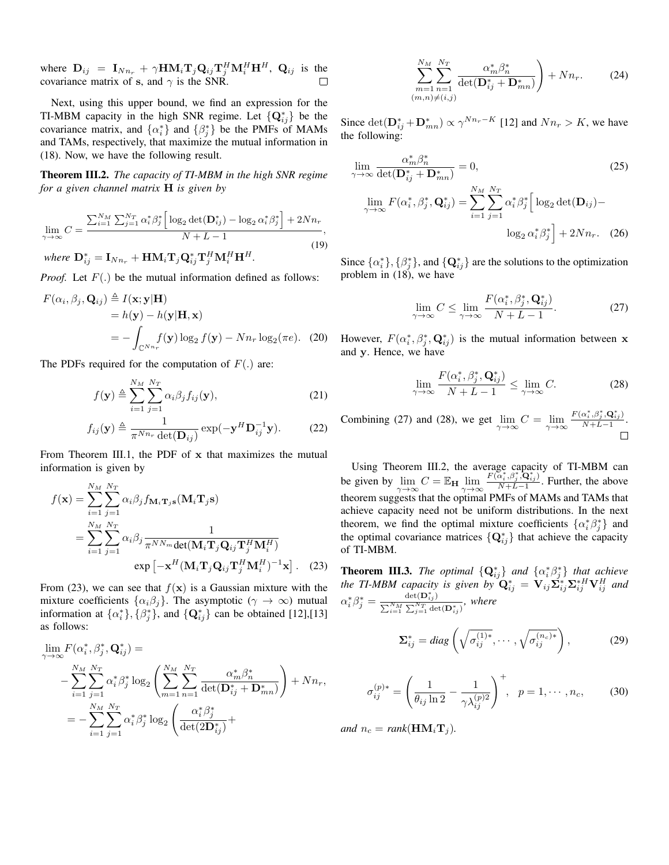where  $\mathbf{D}_{ij} = \mathbf{I}_{Nn_r} + \gamma \mathbf{H} \mathbf{M}_i \mathbf{T}_j \mathbf{Q}_{ij} \mathbf{T}_j^H \mathbf{M}_i^H \mathbf{H}^H$ ,  $\mathbf{Q}_{ij}$  is the covariance matrix of **s**, and  $\gamma$  is the SNR.

Next, using this upper bound, we find an expression for the TI-MBM capacity in the high SNR regime. Let  $\{Q_{ij}^*\}$  be the covariance matrix, and  $\{\alpha_i^*\}$  and  $\{\beta_j^*\}$  be the PMFs of MAMs and TAMs, respectively, that maximize the mutual information in (18). Now, we have the following result.

Theorem III.2. *The capacity of TI-MBM in the high SNR regime for a given channel matrix* **H** *is given by*

$$
\lim_{\gamma \to \infty} C = \frac{\sum_{i=1}^{N_M} \sum_{j=1}^{N_T} \alpha_i^* \beta_j^* \left[ \log_2 \det(\mathbf{D}_{ij}^*) - \log_2 \alpha_i^* \beta_j^* \right] + 2Nn_r}{N + L - 1},\tag{19}
$$

 $w$ *here*  $\mathbf{D}_{ij}^* = \mathbf{I}_{Nn_r} + \mathbf{H}\mathbf{M}_i\mathbf{T}_j\mathbf{Q}_{ij}^*\mathbf{T}_j^H\mathbf{M}_i^H\mathbf{H}^H$ .

*Proof.* Let  $F(.)$  be the mutual information defined as follows:

$$
F(\alpha_i, \beta_j, \mathbf{Q}_{ij}) \triangleq I(\mathbf{x}; \mathbf{y} | \mathbf{H})
$$
  
=  $h(\mathbf{y}) - h(\mathbf{y} | \mathbf{H}, \mathbf{x})$   
=  $-\int_{\mathbb{C}^{N_{n_r}}} f(\mathbf{y}) \log_2 f(\mathbf{y}) - N n_r \log_2(\pi e)$ . (20)

The PDFs required for the computation of  $F(.)$  are:

$$
f(\mathbf{y}) \triangleq \sum_{i=1}^{N_M} \sum_{j=1}^{N_T} \alpha_i \beta_j f_{ij}(\mathbf{y}),
$$
 (21)

$$
f_{ij}(\mathbf{y}) \triangleq \frac{1}{\pi^{Nn_r} \det(\mathbf{D}_{ij})} \exp(-\mathbf{y}^H \mathbf{D}_{ij}^{-1} \mathbf{y}).
$$
 (22)

From Theorem III.1, the PDF of **x** that maximizes the mutual information is given by

$$
f(\mathbf{x}) = \sum_{i=1}^{N_M} \sum_{j=1}^{N_T} \alpha_i \beta_j f_{\mathbf{M}_i \mathbf{T}_j \mathbf{s}}(\mathbf{M}_i \mathbf{T}_j \mathbf{s})
$$
  
= 
$$
\sum_{i=1}^{N_M} \sum_{j=1}^{N_T} \alpha_i \beta_j \frac{1}{\pi^{NN_m} \det(\mathbf{M}_i \mathbf{T}_j \mathbf{Q}_{ij} \mathbf{T}_j^H \mathbf{M}_i^H)}
$$
  
exp  $[-\mathbf{x}^H (\mathbf{M}_i \mathbf{T}_j \mathbf{Q}_{ij} \mathbf{T}_j^H \mathbf{M}_i^H)^{-1} \mathbf{x}].$  (23)

From (23), we can see that  $f(x)$  is a Gaussian mixture with the mixture coefficients  $\{\alpha_i\beta_j\}$ . The asymptotic ( $\gamma \to \infty$ ) mutual information at  $\{\alpha_i^*\}, \{\beta_j^*\},$  and  $\{\mathbf{Q}_{ij}^*\}$  can be obtained [12],[13] as follows:

$$
\lim_{\gamma \to \infty} F(\alpha_i^*, \beta_j^*, \mathbf{Q}_{ij}^*) =
$$
\n
$$
- \sum_{i=1}^{N_M} \sum_{j=1}^{N_T} \alpha_i^* \beta_j^* \log_2 \left( \sum_{m=1}^{N_M} \sum_{n=1}^{N_T} \frac{\alpha_m^* \beta_n^*}{\det(\mathbf{D}_{ij}^* + \mathbf{D}_{mn}^*)} \right) + Nn_r,
$$
\n
$$
= - \sum_{i=1}^{N_M} \sum_{j=1}^{N_T} \alpha_i^* \beta_j^* \log_2 \left( \frac{\alpha_i^* \beta_j^*}{\det(\mathbf{2D}_{ij}^*)} + \right)
$$

$$
\sum_{\substack{m=1 \ m=1}}^{N_M} \sum_{\substack{n=1 \ m=1}}^{N_T} \frac{\alpha_m^* \beta_n^*}{\det(\mathbf{D}_{ij}^* + \mathbf{D}_{mn}^*)} + Nn_r.
$$
 (24)

Since  $\det(\mathbf{D}_{ij}^* + \mathbf{D}_{mn}^*) \propto \gamma^{Nn_r - K}$  [12] and  $Nn_r > K$ , we have the following:

$$
\lim_{\gamma \to \infty} \frac{\alpha_m^* \beta_n^*}{\det(\mathbf{D}_{ij}^* + \mathbf{D}_{mn}^*)} = 0,
$$
\n
$$
\lim_{\gamma \to \infty} F(\alpha_i^*, \beta_j^*, \mathbf{Q}_{ij}^*) = \sum_{i=1}^{N_M} \sum_{j=1}^{N_T} \alpha_i^* \beta_j^* \left[ \log_2 \det(\mathbf{D}_{ij}) - \log_2 \alpha_i^* \beta_j^* \right] + 2Nn_r. \quad (26)
$$

Since  $\{\alpha_i^*\}, \{\beta_j^*\}$ , and  $\{\mathbf Q_{ij}^*\}$  are the solutions to the optimization problem in (18), we have

$$
\lim_{\gamma \to \infty} C \le \lim_{\gamma \to \infty} \frac{F(\alpha_i^*, \beta_j^*, \mathbf{Q}_{ij}^*)}{N + L - 1}.
$$
\n(27)

However,  $F(\alpha_i^*, \beta_j^*, \mathbf{Q}_{ij}^*)$  is the mutual information between **x** and **y**. Hence, we have

$$
\lim_{\gamma \to \infty} \frac{F(\alpha_i^*, \beta_j^*, \mathbf{Q}_{ij}^*)}{N + L - 1} \le \lim_{\gamma \to \infty} C.
$$
 (28)

 $F(\alpha_i^*, \beta_j^*, \mathbf{Q}_{ij}^*)$ Combining (27) and (28), we get  $\lim_{\gamma \to \infty} C = \lim_{\gamma \to \infty}$  $\frac{\alpha_i, \beta_j, \mathbf{Q}_{ij}}{N+L-1}$ . П

Using Theorem III.2, the average capacity of TI-MBM can be given by  $\lim_{\gamma \to \infty} C = \mathbb{E}_{\mathbf{H}} \lim_{\gamma \to \infty}$  $F(\alpha_i^*, \beta_j^*, \mathbf{Q}_{ij}^*)$  $\frac{\alpha_i, \beta_j, \alpha_{ij}}{N+L-1}$ . Further, the above theorem suggests that the optimal PMFs of MAMs and TAMs that achieve capacity need not be uniform distributions. In the next theorem, we find the optimal mixture coefficients  $\{\alpha_i^*\beta_j^*\}$  and the optimal covariance matrices  $\{Q_{ij}^*\}$  that achieve the capacity of TI-MBM.

**Theorem III.3.** The optimal  $\{Q_{ij}^*\}$  and  $\{\alpha_i^*\beta_j^*\}$  that achieve *the TI-MBM capacity is given by*  $\mathbf{Q}_{ij}^* = \mathbf{V}_{ij} \tilde{\mathbf{\Sigma}}_{ij}^* \mathbf{\Sigma}_{ij}^{*H} \mathbf{V}_{ij}^H$  and  $\alpha_i^* \beta_j^* = \frac{\det(\mathbf{D}_{ij}^*)}{\nabla^N M \sum_{i} N_i}$  $\frac{\partial u}{\partial \sum_{i=1}^{N_M} \sum_{j=1}^{N_T} \det(\mathbf{D}^*_{ij})}$ , where

$$
\Sigma_{ij}^* = diag\left(\sqrt{\sigma_{ij}^{(1)*}}, \cdots, \sqrt{\sigma_{ij}^{(n_c)*}}\right),\tag{29}
$$

$$
\sigma_{ij}^{(p)*} = \left(\frac{1}{\theta_{ij} \ln 2} - \frac{1}{\gamma \lambda_{ij}^{(p)2}}\right)^+, \ \ p = 1, \cdots, n_c,
$$
 (30)

*and*  $n_c = rank(\mathbf{HM}_i \mathbf{T}_i)$ *.*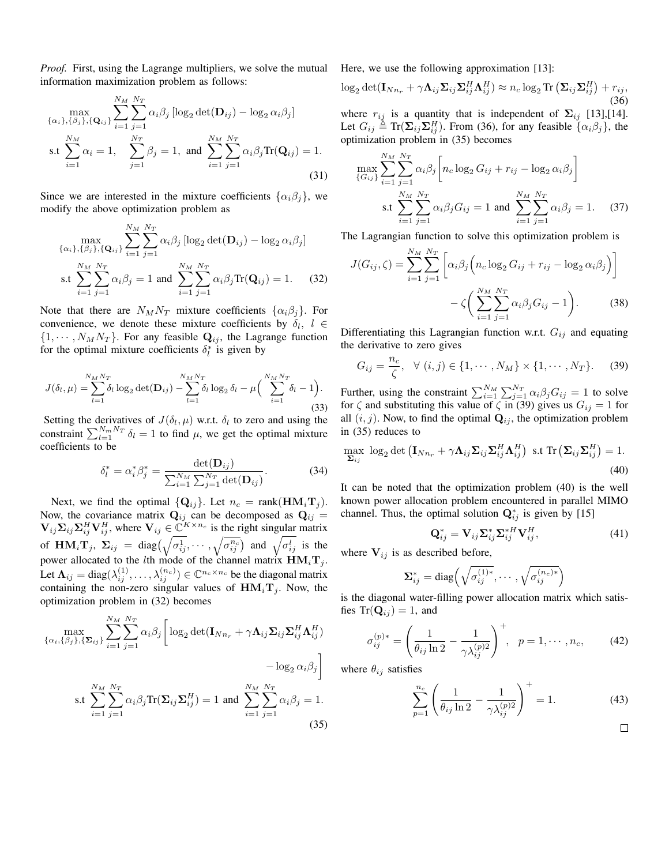*Proof.* First, using the Lagrange multipliers, we solve the mutual information maximization problem as follows:

$$
\max_{\{\alpha_i\},\{\beta_j\},\{\mathbf{Q}_{ij}\}} \sum_{i=1}^{N_M} \sum_{j=1}^{N_T} \alpha_i \beta_j [\log_2 \det(\mathbf{D}_{ij}) - \log_2 \alpha_i \beta_j]
$$
  
s.t 
$$
\sum_{i=1}^{N_M} \alpha_i = 1, \quad \sum_{j=1}^{N_T} \beta_j = 1, \text{ and } \sum_{i=1}^{N_M} \sum_{j=1}^{N_T} \alpha_i \beta_j \text{Tr}(\mathbf{Q}_{ij}) = 1.
$$
(31)

Since we are interested in the mixture coefficients  $\{\alpha_i\beta_j\}$ , we modify the above optimization problem as

$$
\max_{\{\alpha_i\},\{\beta_j\},\{\mathbf{Q}_{ij}\}} \sum_{i=1}^{N_M} \sum_{j=1}^{N_T} \alpha_i \beta_j \left[ \log_2 \det(\mathbf{D}_{ij}) - \log_2 \alpha_i \beta_j \right]
$$
  
s.t 
$$
\sum_{i=1}^{N_M} \sum_{j=1}^{N_T} \alpha_i \beta_j = 1 \text{ and } \sum_{i=1}^{N_M} \sum_{j=1}^{N_T} \alpha_i \beta_j \text{Tr}(\mathbf{Q}_{ij}) = 1. \tag{32}
$$

Note that there are  $N_M N_T$  mixture coefficients  $\{\alpha_i \beta_j\}$ . For convenience, we denote these mixture coefficients by  $\delta_l$ ,  $l \in$  $\{1, \dots, N_M N_T\}$ . For any feasible  $\mathbf{Q}_{ij}$ , the Lagrange function for the optimal mixture coefficients  $\delta_l^*$  is given by

$$
J(\delta_l, \mu) = \sum_{l=1}^{N_M N_T} \delta_l \log_2 \det(\mathbf{D}_{ij}) - \sum_{l=1}^{N_M N_T} \delta_l \log_2 \delta_l - \mu \left( \sum_{i=1}^{N_M N_T} \delta_i - 1 \right).
$$
\n(33)

Setting the derivatives of  $J(\delta_l, \mu)$  w.r.t.  $\delta_l$  to zero and using the constraint  $\sum_{l=1}^{N_m N_T} \delta_l = 1$  to find  $\mu$ , we get the optimal mixture coefficients to be

$$
\delta_l^* = \alpha_i^* \beta_j^* = \frac{\det(\mathbf{D}_{ij})}{\sum_{i=1}^{N_M} \sum_{j=1}^{N_T} \det(\mathbf{D}_{ij})}.
$$
 (34)

Next, we find the optimal  $\{Q_{ij}\}\$ . Let  $n_c = \text{rank}(\mathbf{HM}_i\mathbf{T}_j)$ . Now, the covariance matrix  $Q_{ij}$  can be decomposed as  $Q_{ij}$  =  $\mathbf{V}_{ij}\mathbf{\Sigma}_{ij}\mathbf{\Sigma}_{ij}^H\mathbf{V}_{ij}^H$ , where  $\mathbf{V}_{ij} \in \mathbb{C}^{K \times n_c}$  is the right singular matrix of  $\mathbf{HM}_i \mathbf{T}_j$ ,  $\Sigma_{ij} = \text{diag}\left(\sqrt{\sigma_{ij}^1}, \cdots, \sqrt{\sigma_{ij}^{n_c}}\right)$  and  $\sqrt{\sigma_{ij}^l}$  is the power allocated to the *l*th mode of the channel matrix  $HM_iT_j$ . Let  $\Lambda_{ij} = \text{diag}(\lambda_{ij}^{(1)}, \dots, \lambda_{ij}^{(n_c)}) \in \mathbb{C}^{n_c \times n_c}$  be the diagonal matrix containing the non-zero singular values of  $HM_iT_j$ . Now, the optimization problem in (32) becomes

$$
\max_{\{\alpha_i,\{\beta_j\},\{\Sigma_{ij}\}}\sum_{i=1}^{N_M}\sum_{j=1}^{N_T}\alpha_i\beta_j \left[\log_2\det(\mathbf{I}_{Nn_r} + \gamma\mathbf{\Lambda}_{ij}\Sigma_{ij}\Sigma_{ij}^H\mathbf{\Lambda}_{ij}^H) - \log_2\alpha_i\beta_j\right]
$$
  

$$
= \sum_{i=1}^{N_M}\sum_{j=1}^{N_T}\alpha_i\beta_j\operatorname{Tr}(\Sigma_{ij}\Sigma_{ij}^H) = 1 \text{ and } \sum_{i=1}^{N_M}\sum_{j=1}^{N_T}\alpha_i\beta_j = 1.
$$
(35)

Here, we use the following approximation [13]:

$$
\log_2 \det(\mathbf{I}_{Nn_r} + \gamma \mathbf{\Lambda}_{ij} \mathbf{\Sigma}_{ij} \mathbf{\Sigma}_{ij}^H \mathbf{\Lambda}_{ij}^H) \approx n_c \log_2 \text{Tr} \left( \mathbf{\Sigma}_{ij} \mathbf{\Sigma}_{ij}^H \right) + r_{ij},
$$
\n(36)

where  $r_{ij}$  is a quantity that is independent of  $\Sigma_{ij}$  [13],[14]. Let  $G_{ij} \triangleq \text{Tr}(\Sigma_{ij}\Sigma_{ij}^H)$ . From (36), for any feasible  $\{\alpha_i\beta_j\}$ , the optimization problem in (35) becomes

$$
\max_{\{G_{ij}\}} \sum_{i=1}^{N_M} \sum_{j=1}^{N_T} \alpha_i \beta_j \left[ n_c \log_2 G_{ij} + r_{ij} - \log_2 \alpha_i \beta_j \right]
$$
  
s.t 
$$
\sum_{i=1}^{N_M} \sum_{j=1}^{N_T} \alpha_i \beta_j G_{ij} = 1 \text{ and } \sum_{i=1}^{N_M} \sum_{j=1}^{N_T} \alpha_i \beta_j = 1. \quad (37)
$$

The Lagrangian function to solve this optimization problem is

$$
J(G_{ij}, \zeta) = \sum_{i=1}^{N_M} \sum_{j=1}^{N_T} \left[ \alpha_i \beta_j \left( n_c \log_2 G_{ij} + r_{ij} - \log_2 \alpha_i \beta_j \right) \right]
$$

$$
- \zeta \left( \sum_{i=1}^{N_M} \sum_{j=1}^{N_T} \alpha_i \beta_j G_{ij} - 1 \right). \tag{38}
$$

Differentiating this Lagrangian function w.r.t. *Gij* and equating the derivative to zero gives

$$
G_{ij} = \frac{n_c}{\zeta}, \ \ \forall \ (i,j) \in \{1, \cdots, N_M\} \times \{1, \cdots, N_T\}.
$$
 (39)

Further, using the constraint  $\sum_{i=1}^{N_M} \sum_{j=1}^{N_T} \alpha_i \beta_j G_{ij} = 1$  to solve for  $\zeta$  and substituting this value of  $\zeta$  in (39) gives us  $G_{ij} = 1$  for all  $(i, j)$ . Now, to find the optimal  $\mathbf{Q}_{ij}$ , the optimization problem in (35) reduces to

$$
\max_{\Sigma_{ij}} \log_2 \det \left( \mathbf{I}_{Nn_r} + \gamma \mathbf{\Lambda}_{ij} \Sigma_{ij} \Sigma_{ij}^H \mathbf{\Lambda}_{ij}^H \right) \text{ s.t } \text{Tr} \left( \Sigma_{ij} \Sigma_{ij}^H \right) = 1. \tag{40}
$$

It can be noted that the optimization problem (40) is the well known power allocation problem encountered in parallel MIMO channel. Thus, the optimal solution  $\mathbf{Q}_{ij}^*$  is given by [15]

$$
\mathbf{Q}_{ij}^* = \mathbf{V}_{ij} \mathbf{\Sigma}_{ij}^* \mathbf{\Sigma}_{ij}^{*H} \mathbf{V}_{ij}^H, \tag{41}
$$

where  $V_{ij}$  is as described before,

$$
\mathbf{\Sigma}_{ij}^* = \text{diag}\left(\sqrt{\sigma_{ij}^{(1)*}}, \cdots, \sqrt{\sigma_{ij}^{(n_c)*}}\right)
$$

is the diagonal water-filling power allocation matrix which satisfies  $\text{Tr}(\mathbf{Q}_{ij}) = 1$ , and

$$
\sigma_{ij}^{(p)*} = \left(\frac{1}{\theta_{ij} \ln 2} - \frac{1}{\gamma \lambda_{ij}^{(p)2}}\right)^+, \ \ p = 1, \cdots, n_c,
$$
 (42)

where  $\theta_{ij}$  satisfies

$$
\sum_{p=1}^{n_c} \left( \frac{1}{\theta_{ij} \ln 2} - \frac{1}{\gamma \lambda_{ij}^{(p)2}} \right)^+ = 1.
$$
 (43)